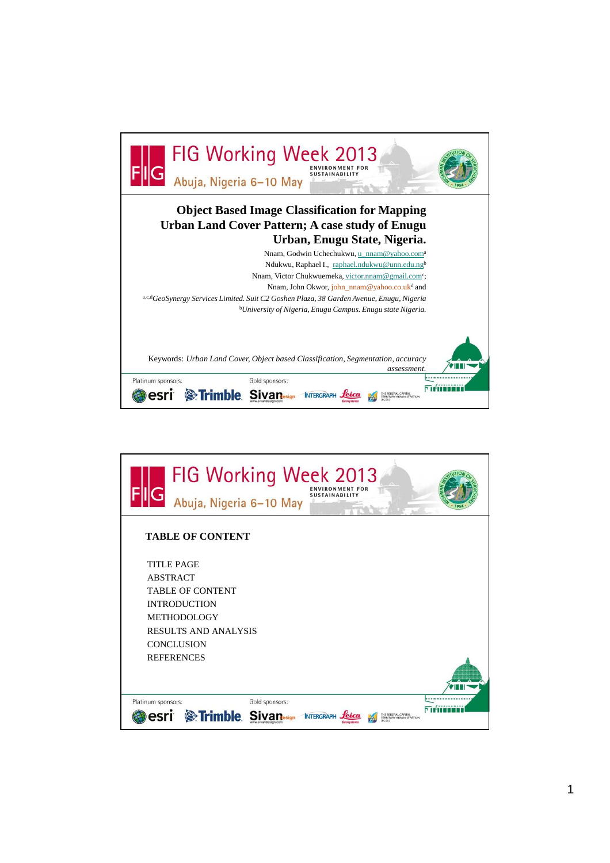

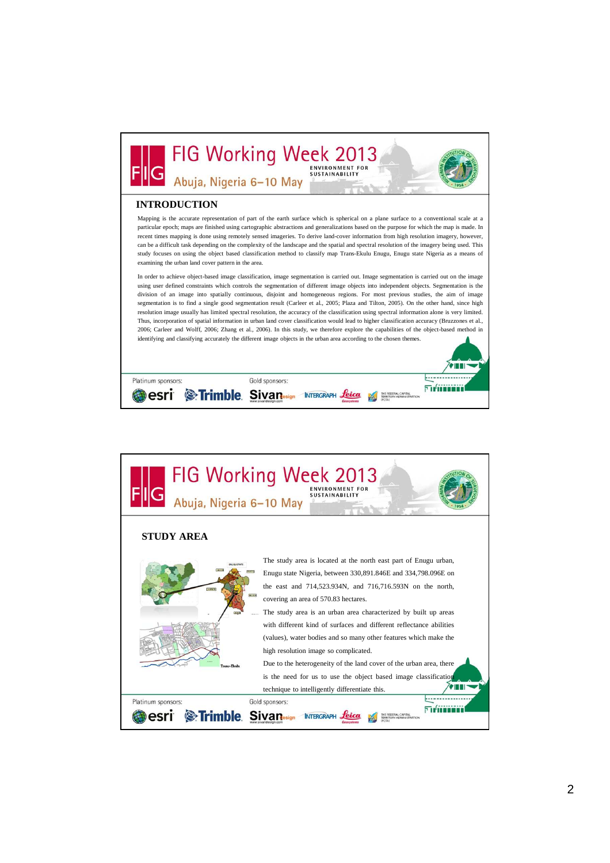

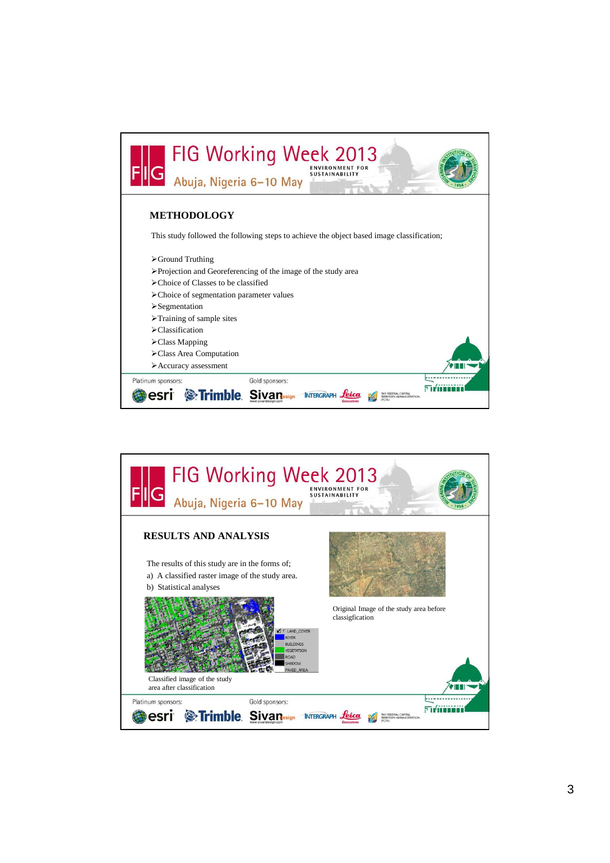

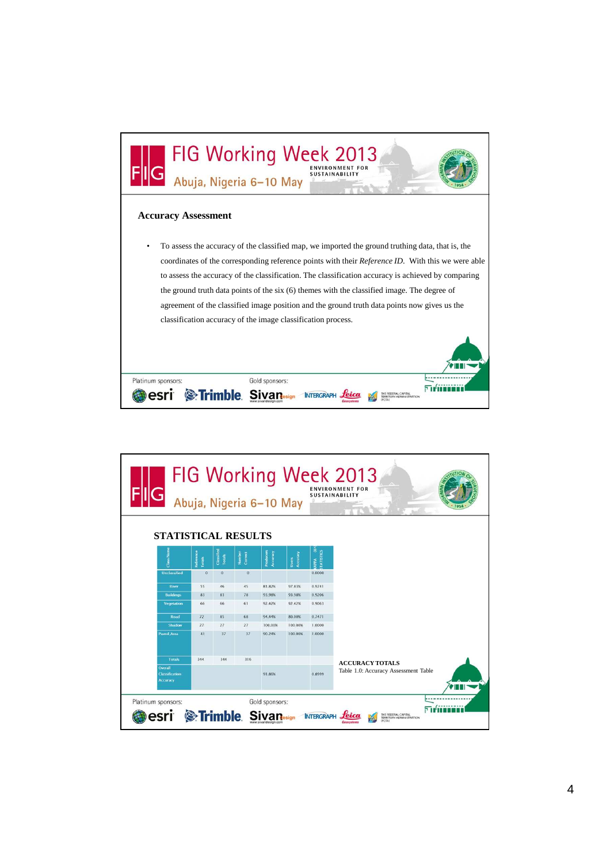

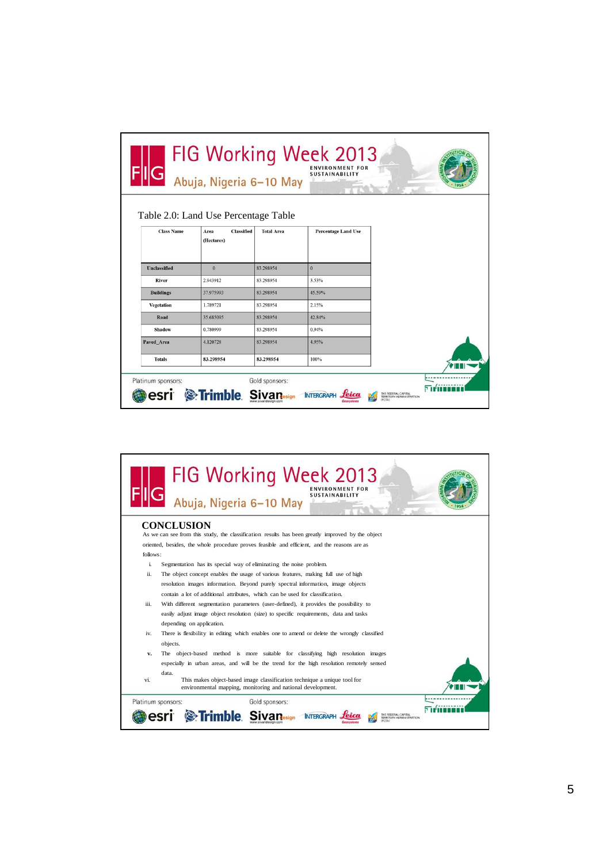| FIG Working Week 2013<br><b>ENVIRONMENT FOR</b><br>Abuja, Nigeria 6-10 May<br><b>SUSTAINABILITY</b><br><b>Business</b> |                           |                   |                            |                                                        |
|------------------------------------------------------------------------------------------------------------------------|---------------------------|-------------------|----------------------------|--------------------------------------------------------|
| Table 2.0: Land Use Percentage Table                                                                                   |                           |                   |                            |                                                        |
| <b>Class Name</b>                                                                                                      | <b>Classified</b><br>Area | <b>Total Area</b> | <b>Percentage Land Use</b> |                                                        |
|                                                                                                                        | (Hectares)                |                   |                            |                                                        |
|                                                                                                                        |                           |                   |                            |                                                        |
| Unclassified                                                                                                           | $\mathbf{0}$              | 83.298954         | $\mathbf{0}$               |                                                        |
| River                                                                                                                  | 2.943912                  | 83.298954         | 3.53%                      |                                                        |
| <b>Buildings</b>                                                                                                       | 37.975993                 | 83.298954         | 45.59%                     |                                                        |
| Vegetation                                                                                                             | 1.789721                  | 83.298954         | 2.15%                      |                                                        |
| Road                                                                                                                   | 35.685095                 | 83.298954         | 42.84%                     |                                                        |
| Shadow                                                                                                                 | 0.780999                  | 83.298954         | 0.94%                      |                                                        |
| Paved Area                                                                                                             | 4.120728                  | 83.298954         | 4.95%                      |                                                        |
| <b>Totals</b>                                                                                                          | 83.298954                 | 83.298954         | 100%                       |                                                        |
| Platinum sponsors:                                                                                                     | <b>Strimble Sivan</b>     | Gold sponsors:    | <b>INTERGRAP</b>           | THE FEDERAL CAPITAL<br><b>TERRITORY ADMINISTRATION</b> |